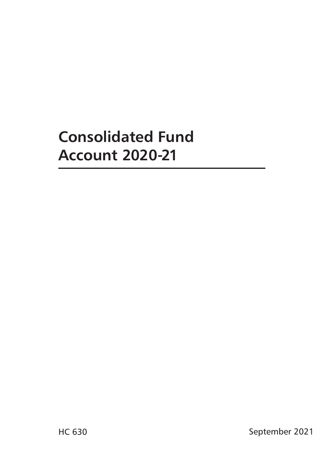# **Consolidated Fund Account 2020-21**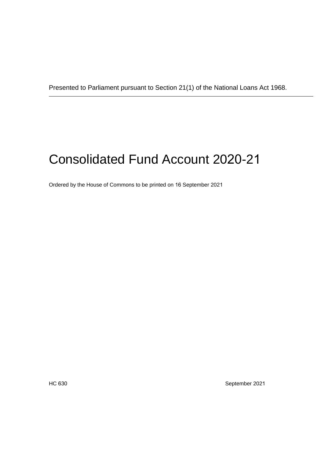# Consolidated Fund Account 2020-21

Ordered by the House of Commons to be printed on 16 September 2021

HC 630 September 2021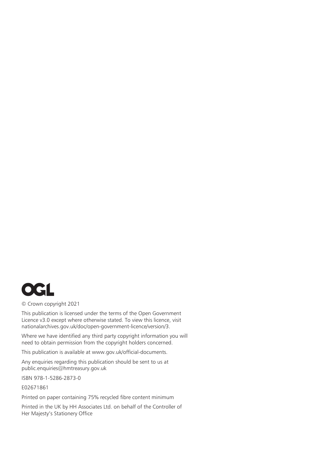

#### © Crown copyright 2021

This publication is licensed under the terms of the Open Government Licence v3.0 except where otherwise stated. To view this licence, visit nationalarchives.gov.uk/doc/open-government-licence/version/3.

Where we have identified any third party copyright information you will need to obtain permission from the copyright holders concerned.

This publication is available at<www.gov.uk/official-documents>.

Any enquiries regarding this publication should be sent to us at public.enquiries@hmtreasury.gov.uk

ISBN 978-1-5286-2873-0

E02671861

Printed on paper containing 75% recycled fibre content minimum

Printed in the UK by HH Associates Ltd. on behalf of the Controller of Her Majesty's Stationery Office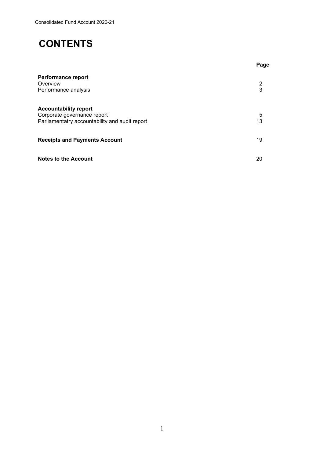## **CONTENTS**

|                                                                                                               | Page    |
|---------------------------------------------------------------------------------------------------------------|---------|
| <b>Performance report</b><br>Overview<br>Performance analysis                                                 | 2<br>3  |
| <b>Accountability report</b><br>Corporate governance report<br>Parliamentatry accountability and audit report | 5<br>13 |
| <b>Receipts and Payments Account</b>                                                                          | 19      |
| <b>Notes to the Account</b>                                                                                   | 20      |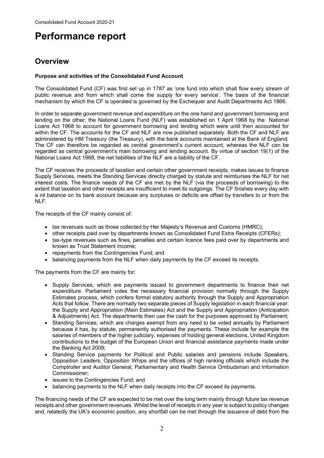## <span id="page-4-0"></span>**Performance report**

## **Overview**

#### **Purpose and activities of the Consolidated Fund Account**

 The Consolidated Fund (CF) was first set up in 1787 as 'one fund into which shall flow every stream of public revenue and from which shall come the supply for every service'. The basis of the financial mechanism by which the CF is operated is governed by the Exchequer and Audit Departments Act 1866.

 lending on the other, the National Loans Fund (NLF) was established on 1 April 1968 by the National within the CF. The accounts for the CF and NLF are now published separately. Both the CF and NLF are administered by HM Treasury (the Treasury), with the bank accounts maintained at the Bank of England. regarded as central government's main borrowing and lending account. By virtue of section 19(1) of the National Loans Act 1968, the net liabilities of the NLF are a liability of the CF. In order to separate government revenue and expenditure on the one hand and government borrowing and Loans Act 1968 to account for government borrowing and lending which were until then accounted for The CF can therefore be regarded as central government's current account, whereas the NLF can be

 interest costs. The finance needs of the CF are met by the NLF (via the proceeds of borrowing) to the a nil balance on its bank account because any surpluses or deficits are offset by transfers to or from the The CF receives the proceeds of taxation and certain other government receipts, makes issues to finance Supply Services, meets the Standing Services directly charged by statute and reimburses the NLF for net extent that taxation and other receipts are insufficient to meet its outgoings. The CF finishes every day with NLF.

The receipts of the CF mainly consist of:

- tax revenues such as those collected by Her Majesty's Revenue and Customs (HMRC);
- other receipts paid over by departments known as Consolidated Fund Extra Receipts (CFERs);
- • tax-type revenues such as fines, penalties and certain licence fees paid over by departments and known as Trust Statement income;
- repayments from the Contingencies Fund; and
- balancing payments from the NLF when daily payments by the CF exceed its receipts.

The payments from the CF are mainly for:

- Estimates process, which confers formal statutory authority through the Supply and Appropriation • Supply Services, which are payments issued to government departments to finance their net expenditure. Parliament votes the necessary financial provision normally through the Supply Acts that follow. There are normally two separate pieces of Supply legislation in each financial year: the Supply and Appropriation (Main Estimates) Act and the Supply and Appropriation (Anticipation & Adjustments) Act. The departments then use the cash for the purposes approved by Parliament;
- • Standing Services, which are charges exempt from any need to be voted annually by Parliament because it has, by statute, permanently authorised the payments. These include for example the salaries of members of the higher judiciary, expenses of holding general elections, United Kingdom contributions to the budget of the European Union and financial assistance payments made under the Banking Act 2009;
- Opposition Leaders, Opposition Whips and the offices of high ranking officials which include the • Standing Service payments for Political and Public salaries and pensions include Speakers, Comptroller and Auditor General, Parliamentary and Health Service Ombudsman and Information Commissioner;
- issues to the Contingencies Fund; and
- balancing payments to the NLF when daily receipts into the CF exceed its payments.

The financing needs of the CF are expected to be met over the long term mainly through future tax revenue receipts and other government revenues. Whilst the level of receipts in any year is subject to policy changes and, relatedly the UK's economic position, any shortfall can be met through the issuance of debt from the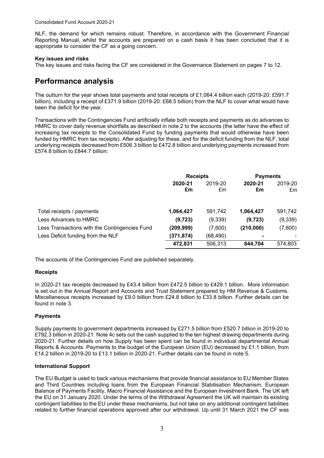<span id="page-5-0"></span> Reporting Manual, whilst the accounts are prepared on a cash basis it has been concluded that it is NLF, the demand for which remains robust. Therefore, in accordance with the Government Financial appropriate to consider the CF as a going concern.

#### **Key issues and risks**

The key issues and risks facing the CF are considered in the Governance Statement on pages 7 to 12.

### **Performance analysis**

 The outturn for the year shows total payments and total receipts of £1,064.4 billion each (2019-20: £591.7 billion), including a receipt of £371.9 billion (2019-20: £68.5 billion) from the NLF to cover what would have been the deficit for the year.

 increasing tax receipts to the Consolidated Fund by funding payments that would otherwise have been underlying receipts decreased from £506.3 billion to £472.8 billion and underlying payments increased from £574.8 billion to £844.7 billion: Transactions with the Contingencies Fund artificially inflate both receipts and payments as do advances to HMRC to cover daily revenue shortfalls as described in note 2 to the accounts (the latter have the effect of funded by HMRC from tax receipts). After adjusting for these, and for the deficit funding from the NLF, total

|                                               | <b>Receipts</b> |               | <b>Payments</b> |               |
|-----------------------------------------------|-----------------|---------------|-----------------|---------------|
|                                               | 2020-21<br>£m   | 2019-20<br>£m | 2020-21<br>£m   | 2019-20<br>£m |
| Total receipts / payments                     | 1,064,427       | 591,742       | 1,064,427       | 591,742       |
| Less Advances to HMRC                         | (9, 723)        | (9, 339)      | (9, 723)        | (9,339)       |
| Less Transactions with the Contingencies Fund | (209,999)       | (7,600)       | (210,000)       | (7,600)       |
| Less Deficit funding from the NLF             | (371, 874)      | (68,490)      | ۰               |               |
|                                               | 472,831         | 506,313       | 844.704         | 574.803       |

The accounts of the Contingencies Fund are published separately.

#### **Receipts**

 In 2020-21 tax receipts decreased by £43.4 billion from £472.5 billion to £429.1 billion. More information Miscellaneous receipts increased by £9.0 billion from £24.8 billion to £33.8 billion. Further details can be found in note 3. is set out in the Annual Report and Accounts and Trust Statement prepared by HM Revenue & Customs.

#### **Payments**

 Supply payments to government departments increased by £271.5 billion from £520.7 billion in 2019-20 to £792.3 billion in 2020-21. Note 4c sets out the cash supplied to the ten highest drawing departments during 2020-21. Further details on how Supply has been spent can be found in individual departmental Annual Reports & Accounts. Payments to the budget of the European Union (EU) decreased by £1.1 billion, from £14.2 billion in 2019-20 to £13.1 billion in 2020-21. Further details can be found in note 5.

#### **International Support**

 related to further financial operations approved after our withdrawal. Up until 31 March 2021 the CF was The EU Budget is used to back various mechanisms that provide financial assistance to EU Member States and Third Countries including loans from the European Financial Stabilisation Mechanism, European Balance of Payments Facility, Macro Financial Assistance and the European Investment Bank. The UK left the EU on 31 January 2020. Under the terms of the Withdrawal Agreement the UK will maintain its existing contingent liabilities to the EU under these mechanisms, but not take on any additional contingent liabilities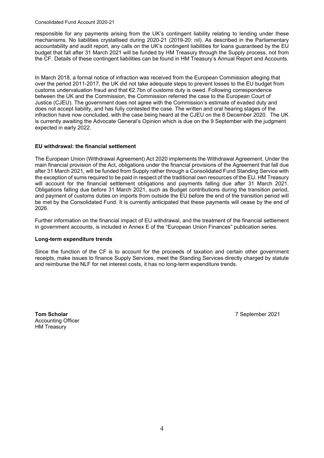Consolidated Fund Account 2020-21

 mechanisms. No liabilities crystallised during 2020-21 (2019-20: nil). As described in the Parliamentary responsible for any payments arising from the UK's contingent liability relating to lending under these accountability and audit report, any calls on the UK's contingent liabilities for loans guaranteed by the EU budget that fall after 31 March 2021 will be funded by HM Treasury through the Supply process, not from the CF. Details of these contingent liabilities can be found in HM Treasury's Annual Report and Accounts.

 In March 2018, a formal notice of infraction was received from the European Commission alleging that over the period 2011-2017, the UK did not take adequate steps to prevent losses to the EU budget from does not accept liability, and has fully contested the case. The written and oral hearing stages of the infraction have now concluded, with the case being heard at the CJEU on the 8 December 2020. The UK customs undervaluation fraud and that €2.7bn of customs duty is owed. Following correspondence between the UK and the Commission, the Commission referred the case to the European Court of Justice (CJEU). The government does not agree with the Commission's estimate of evaded duty and is currently awaiting the Advocate General's Opinion which is due on the 9 September with the judgment expected in early 2022.

#### **EU withdrawal: the financial settlement**

 Obligations falling due before 31 March 2021, such as Budget contributions during the transition period, The European Union (Withdrawal Agreement) Act 2020 implements the Withdrawal Agreement. Under the main financial provision of the Act, obligations under the financial provisions of the Agreement that fall due after 31 March 2021, will be funded from Supply rather through a Consolidated Fund Standing Service with the exception of sums required to be paid in respect of the traditional own resources of the EU. HM Treasury will account for the financial settlement obligations and payments falling due after 31 March 2021. and payment of customs duties on imports from outside the EU before the end of the transition period will be met by the Consolidated Fund. It is currently anticipated that these payments will cease by the end of 2026.

 in government accounts, is included in Annex E of the "European Union Finances" publication series. Further information on the financial impact of EU withdrawal, and the treatment of the financial settlement

#### **Long-term expenditure trends**

 and reimburse the NLF for net interest costs, it has no long-term expenditure trends. Since the function of the CF is to account for the proceeds of taxation and certain other government receipts, make issues to finance Supply Services, meet the Standing Services directly charged by statute

**Tom Scholar** 7 September 2021 Accounting Officer HM Treasury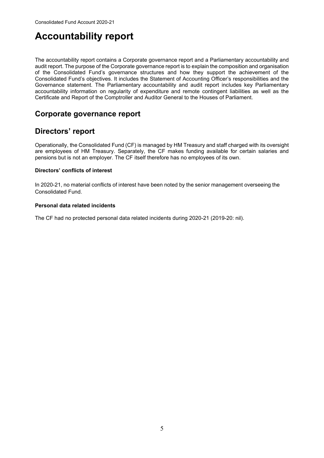## <span id="page-7-0"></span>**Accountability report**

 of the Consolidated Fund's governance structures and how they support the achievement of the Consolidated Fund's objectives. It includes the Statement of Accounting Officer's responsibilities and the accountability information on regularity of expenditure and remote contingent liabilities as well as the The accountability report contains a Corporate governance report and a Parliamentary accountability and audit report. The purpose of the Corporate governance report is to explain the composition and organisation Governance statement. The Parliamentary accountability and audit report includes key Parliamentary Certificate and Report of the Comptroller and Auditor General to the Houses of Parliament.

### **Corporate governance report**

### **Directors' report**

 Operationally, the Consolidated Fund (CF) is managed by HM Treasury and staff charged with its oversight pensions but is not an employer. The CF itself therefore has no employees of its own. are employees of HM Treasury. Separately, the CF makes funding available for certain salaries and

#### **Directors' conflicts of interest**

In 2020-21, no material conflicts of interest have been noted by the senior management overseeing the Consolidated Fund.

#### **Personal data related incidents**

The CF had no protected personal data related incidents during 2020-21 (2019-20: nil).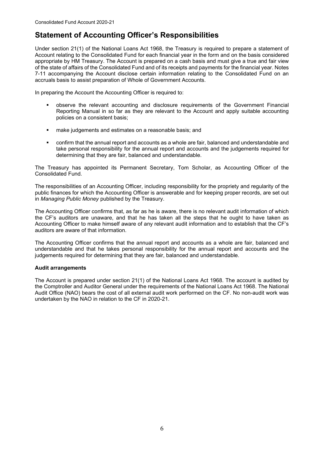## **Statement of Accounting Officer's Responsibilities**

 Under section 21(1) of the National Loans Act 1968, the Treasury is required to prepare a statement of appropriate by HM Treasury. The Account is prepared on a cash basis and must give a true and fair view accruals basis to assist preparation of Whole of Government Accounts. Account relating to the Consolidated Fund for each financial year in the form and on the basis considered of the state of affairs of the Consolidated Fund and of its receipts and payments for the financial year. Notes 7-11 accompanying the Account disclose certain information relating to the Consolidated Fund on an

In preparing the Account the Accounting Officer is required to:

- observe the relevant accounting and disclosure requirements of the Government Financial Reporting Manual in so far as they are relevant to the Account and apply suitable accounting policies on a consistent basis;
- make judgements and estimates on a reasonable basis; and
- take personal responsibility for the annual report and accounts and the judgements required for confirm that the annual report and accounts as a whole are fair, balanced and understandable and determining that they are fair, balanced and understandable.

 The Treasury has appointed its Permanent Secretary, Tom Scholar, as Accounting Officer of the Consolidated Fund.

 public finances for which the Accounting Officer is answerable and for keeping proper records, are set out in *Managing Public Money* published by the Treasury. The responsibilities of an Accounting Officer, including responsibility for the propriety and regularity of the

 The Accounting Officer confirms that, as far as he is aware, there is no relevant audit information of which the CF's auditors are unaware, and that he has taken all the steps that he ought to have taken as Accounting Officer to make himself aware of any relevant audit information and to establish that the CF's auditors are aware of that information.

 The Accounting Officer confirms that the annual report and accounts as a whole are fair, balanced and understandable and that he takes personal responsibility for the annual report and accounts and the judgements required for determining that they are fair, balanced and understandable.

#### **Audit arrangements**

 The Account is prepared under section 21(1) of the National Loans Act 1968. The account is audited by the Comptroller and Auditor General under the requirements of the National Loans Act 1968. The National Audit Office (NAO) bears the cost of all external audit work performed on the CF. No non-audit work was undertaken by the NAO in relation to the CF in 2020-21.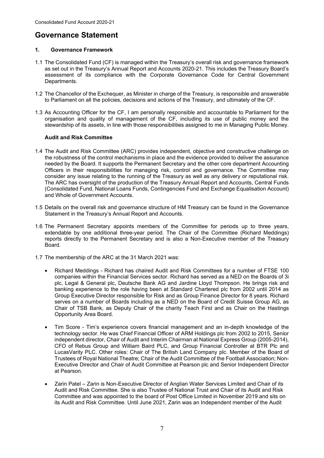## **Governance Statement**

#### **1. Governance Framework**

- 1.1 The Consolidated Fund (CF) is managed within the Treasury's overall risk and governance framework as set out in the Treasury's Annual Report and Accounts 2020-21. This includes the Treasury Board's assessment of its compliance with the Corporate Governance Code for Central Government Departments.
- 1.2 The Chancellor of the Exchequer, as Minister in charge of the Treasury, is responsible and answerable to Parliament on all the policies, decisions and actions of the Treasury, and ultimately of the CF.
- 1.3 As Accounting Officer for the CF, I am personally responsible and accountable to Parliament for the organisation and quality of management of the CF, including its use of public money and the stewardship of its assets, in line with those responsibilities assigned to me in Managing Public Money.

#### **Audit and Risk Committee**

- and Whole of Government Accounts. 1.4 The Audit and Risk Committee (ARC) provides independent, objective and constructive challenge on the robustness of the control mechanisms in place and the evidence provided to deliver the assurance needed by the Board. It supports the Permanent Secretary and the other core department Accounting Officers in their responsibilities for managing risk, control and governance. The Committee may consider any issue relating to the running of the Treasury as well as any delivery or reputational risk. The ARC has oversight of the production of the Treasury Annual Report and Accounts, Central Funds (Consolidated Fund, National Loans Funds, Contingencies Fund and Exchange Equalisation Account)
- 1.5 Details on the overall risk and governance structure of HM Treasury can be found in the Governance Statement in the Treasury's Annual Report and Accounts.
- 1.6 The Permanent Secretary appoints members of the Committee for periods up to three years, extendable by one additional three-year period. The Chair of the Committee (Richard Meddings) reports directly to the Permanent Secretary and is also a Non-Executive member of the Treasury Board.
- 1.7 The membership of the ARC at the 31 March 2021 was:
	- • Richard Meddings Richard has chaired Audit and Risk Committees for a number of FTSE 100 plc, Legal & General plc, Deutsche Bank AG and Jardine Lloyd Thompson. He brings risk and banking experience to the role having been at Standard Chartered plc from 2002 until 2014 as serves on a number of Boards including as a NED on the Board of Credit Suisse Group AG, as companies within the Financial Services sector. Richard has served as a NED on the Boards of 3i Group Executive Director responsible for Risk and as Group Finance Director for 8 years. Richard Chair of TSB Bank, as Deputy Chair of the charity Teach First and as Chair on the Hastings Opportunity Area Board.
	- • Tim Score Tim's experience covers financial management and an in-depth knowledge of the technology sector. He was Chief Financial Officer of ARM Holdings plc from 2002 to 2015, Senior LucasVarity PLC. Other roles: Chair of The British Land Company plc. Member of the Board of independent director, Chair of Audit and Interim Chairman at National Express Group (2005-2014), CFO of Rebus Group and William Baird PLC, and Group Financial Controller at BTR Plc and Trustees of Royal National Theatre; Chair of the Audit Committee of the Football Association; Non-Executive Director and Chair of Audit Committee at Pearson plc and Senior Independent Director at Pearson.
	- • Zarin Patel Zarin is Non-Executive Director of Anglian Water Services Limited and Chair of its Audit and Risk Committee. She is also Trustee of National Trust and Chair of its Audit and Risk Committee and was appointed to the board of Post Office Limited in November 2019 and sits on its Audit and Risk Committee. Until June 2021, Zarin was an Independent member of the Audit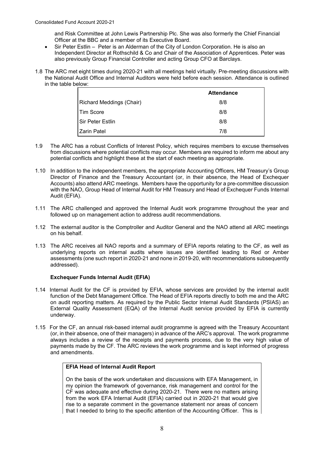and Risk Committee at John Lewis Partnership Plc. She was also formerly the Chief Financial Officer at the BBC and a member of its Executive Board.

- • Sir Peter Estlin Peter is an Alderman of the City of London Corporation. He is also an Independent Director at Rothschild & Co and Chair of the Association of Apprentices. Peter was also previously Group Financial Controller and acting Group CFO at Barclays.
- 1.8 The ARC met eight times during 2020-21 with all meetings held virtually. Pre-meeting discussions with the National Audit Office and Internal Auditors were held before each session. Attendance is outlined in the table below:

|                                 | <b>Attendance</b> |
|---------------------------------|-------------------|
| <b>Richard Meddings (Chair)</b> | 8/8               |
| l Tim Score                     | 8/8               |
| l Sir Peter Estlin              | 8/8               |
| Zarin Patel                     | 7/8               |

- 1.9 The ARC has a robust Conflicts of Interest Policy, which requires members to excuse themselves from discussions where potential conflicts may occur. Members are required to inform me about any potential conflicts and highlight these at the start of each meeting as appropriate.
- 1.10 In addition to the independent members, the appropriate Accounting Officers, HM Treasury's Group Director of Finance and the Treasury Accountant (or, in their absence, the Head of Exchequer Accounts) also attend ARC meetings. Members have the opportunity for a pre-committee discussion with the NAO, Group Head of Internal Audit for HM Treasury and Head of Exchequer Funds Internal Audit (EFIA).
- 1.11 The ARC challenged and approved the Internal Audit work programme throughout the year and followed up on management action to address audit recommendations.
- 1.12 The external auditor is the Comptroller and Auditor General and the NAO attend all ARC meetings on his behalf.
- 1.13 The ARC receives all NAO reports and a summary of EFIA reports relating to the CF, as well as underlying reports on internal audits where issues are identified leading to Red or Amber assessments (one such report in 2020-21 and none in 2019-20, with recommendations subsequently addressed).

#### **Exchequer Funds Internal Audit (EFIA)**

- 1.14 Internal Audit for the CF is provided by EFIA, whose services are provided by the internal audit function of the Debt Management Office. The Head of EFIA reports directly to both me and the ARC on audit reporting matters. As required by the Public Sector Internal Audit Standards (PSIAS) an External Quality Assessment (EQA) of the Internal Audit service provided by EFIA is currently underway.
- 1.15 For the CF, an annual risk-based internal audit programme is agreed with the Treasury Accountant (or, in their absence, one of their managers) in advance of the ARC's approval. The work programme always includes a review of the receipts and payments process, due to the very high value of payments made by the CF. The ARC reviews the work programme and is kept informed of progress and amendments.

#### **EFIA Head of Internal Audit Report**

 On the basis of the work undertaken and discussions with EFA Management, in my opinion the framework of governance, risk management and control for the from the work EFA Internal Audit (EFIA) carried out in 2020-21 that would give rise to a separate comment in the governance statement nor areas of concern that I needed to bring to the specific attention of the Accounting Officer. This is CF was adequate and effective during 2020-21. There were no matters arising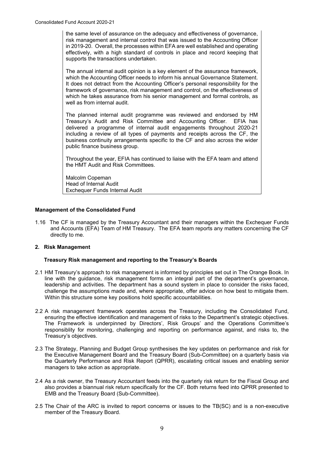risk management and internal control that was issued to the Accounting Officer in 2019-20. Overall, the processes within EFA are well established and operating the same level of assurance on the adequacy and effectiveness of governance, effectively, with a high standard of controls in place and record keeping that supports the transactions undertaken.

which the Accounting Officer needs to inform his annual Governance Statement. which the Accounting Officer needs to inform his annual Governance Statement.<br>It does not detract from the Accounting Officer's personal responsibility for the which he takes assurance from his senior management and formal controls, as well as from internal audit. The annual internal audit opinion is a key element of the assurance framework, framework of governance, risk management and control, on the effectiveness of

 Treasury's Audit and Risk Committee and Accounting Officer. EFIA has delivered a programme of internal audit engagements throughout 2020-21 business continuity arrangements specific to the CF and also across the wider The planned internal audit programme was reviewed and endorsed by HM including a review of all types of payments and receipts across the CF, the public finance business group.

 Throughout the year, EFIA has continued to liaise with the EFA team and attend the HMT Audit and Risk Committees.

Malcolm Copeman Head of Internal Audit Exchequer Funds Internal Audit

#### **Management of the Consolidated Fund**

 1.16 The CF is managed by the Treasury Accountant and their managers within the Exchequer Funds and Accounts (EFA) Team of HM Treasury. The EFA team reports any matters concerning the CF directly to me.

#### **2. Risk Management**

#### **Treasury Risk management and reporting to the Treasury's Boards**

- line with the guidance, risk management forms an integral part of the department's governance, leadership and activities. The department has a sound system in place to consider the risks faced, challenge the assumptions made and, where appropriate, offer advice on how best to mitigate them. 2.1 HM Treasury's approach to risk management is informed by principles set out in The Orange Book. In Within this structure some key positions hold specific accountabilities.
- 2.2 A risk management framework operates across the Treasury, including the Consolidated Fund, ensuring the effective identification and management of risks to the Department's strategic objectives. The Framework is underpinned by Directors', Risk Groups' and the Operations Committee's responsiblity for monitoring, challenging and reporting on performance against, and risks to, the Treasury's objectives.
- 2.3 The Strategy, Planning and Budget Group synthesises the key updates on performance and risk for the Executive Management Board and the Treasury Board (Sub-Committee) on a quarterly basis via the Quarterly Performance and Risk Report (QPRR), escalating critical issues and enabling senior managers to take action as appropriate.
- 2.4 As a risk owner, the Treasury Accountant feeds into the quarterly risk return for the Fiscal Group and also provides a biannual risk return specifically for the CF. Both returns feed into QPRR presented to EMB and the Treasury Board (Sub-Committee).
- 2.5 The Chair of the ARC is invited to report concerns or issues to the TB(SC) and is a non-executive member of the Treasury Board.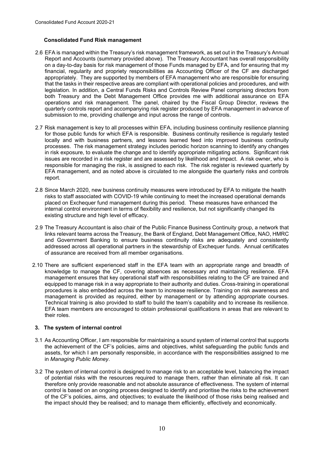#### **Consolidated Fund Risk management**

- 2.6 EFA is managed within the Treasury's risk management framework, as set out in the Treasury's Annual on a day-to-day basis for risk management of those Funds managed by EFA, and for ensuring that my appropriately. They are supported by members of EFA management who are responsible for ensuring that the tasks in their respective areas are compliant with operational policies and procedures, and with legislation. In addition, a Central Funds Risks and Controls Review Panel comprising directors from quarterly controls report and accompanying risk register produced by EFA management in advance of Report and Accounts (summary provided above). The Treasury Accountant has overall responsibility financial, regularity and propriety responsibilities as Accounting Officer of the CF are discharged both Treasury and the Debt Management Office provides me with additional assurance on EFA operations and risk management. The panel, chaired by the Fiscal Group Director, reviews the submission to me, providing challenge and input across the range of controls.
- for those public funds for which EFA is responsible. Business continuity resilience is regularly tested processes. The risk management strategy includes periodic horizon scanning to identify any changes in risk exposure, to evaluate the change and to identify appropriate mitigating actions. Significant risk EFA management, and as noted above is circulated to me alongside the quarterly risks and controls 2.7 Risk management is key to all processes within EFA, including business continuity resilience planning locally and with business partners, and lessons learned feed into improved business continuity issues are recorded in a risk register and are assessed by likelihood and impact. A risk owner, who is responsible for managing the risk, is assigned to each risk. The risk register is reviewed quarterly by report.
- risks to staff associated with COVID-19 while continuing to meet the increased operational demands 2.8 Since March 2020, new business continuity measures were introduced by EFA to mitigate the health placed on Exchequer fund management during this period. These measures have enhanced the internal control environment in terms of flexibility and resilience, but not significantly changed its existing structure and high level of efficacy.
- 2.9 The Treasury Accountant is also chair of the Public Finance Business Continuity group, a network that links relevant teams across the Treasury, the Bank of England, Debt Management Office, NAO, HMRC and Government Banking to ensure business continuity risks are adequately and consistently addressed across all operational partners in the stewardship of Exchequer funds. Annual certificates of assurance are received from all member organisations.
- procedures is also embedded across the team to increase resilience. Training on risk awareness and management is provided as required, either by management or by attending appropriate courses.<br>Technical training is also provided to staff to build the team's capability and to increase its resilience. EFA team members are encouraged to obtain professional qualifications in areas that are relevant to 2.10 There are sufficient experienced staff in the EFA team with an appropriate range and breadth of knowledge to manage the CF, covering absences as necessary and maintaining resilience. EFA management ensures that key operational staff with responsibilities relating to the CF are trained and equipped to manage risk in a way appropriate to their authority and duties. Cross-training in operational their roles.

#### **3. The system of internal control**

- the achievement of the CF's policies, aims and objectives, whilst safeguarding the public funds and 3.1 As Accounting Officer, I am responsible for maintaining a sound system of internal control that supports assets, for which I am personally responsible, in accordance with the responsibilities assigned to me in *Managing Public Money*.
- of the CF's policies, aims, and objectives; to evaluate the likelihood of those risks being realised and the impact should they be realised; and to manage them efficiently, effectively and economically. 3.2 The system of internal control is designed to manage risk to an acceptable level, balancing the impact of potential risks with the resources required to manage them, rather than eliminate all risk. It can therefore only provide reasonable and not absolute assurance of effectiveness. The system of internal control is based on an ongoing process designed to identify and prioritise the risks to the achievement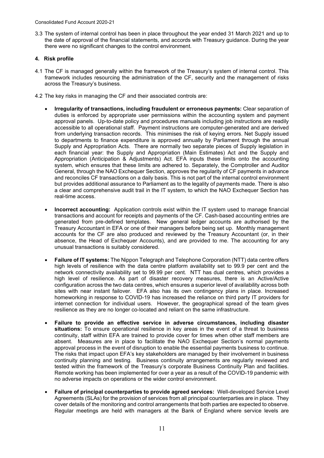3.3 The system of internal control has been in place throughout the year ended 31 March 2021 and up to the date of approval of the financial statements, and accords with Treasury guidance. During the year there were no significant changes to the control environment.

#### **4. Risk profile**

- 4.1 The CF is managed generally within the framework of the Treasury's system of internal control. This framework includes resourcing the administration of the CF, security and the management of risks across the Treasury's business.
- 4.2 The key risks in managing the CF and their associated controls are:
	- accessible to all operational staff. Payment instructions are computer-generated and are derived from underlying transaction records. This minimises the risk of keying errors. Net Supply issued Supply and Appropriation Acts. There are normally two separate pieces of Supply legislation in each financial year: the Supply and Appropriation (Main Estimates) Act and the Supply and Appropriation (Anticipation & Adjustments) Act. EFA inputs these limits onto the accounting system, which ensures that these limits are adhered to. Separately, the Comptroller and Auditor General, through the NAO Exchequer Section, approves the regularity of CF payments in advance • **Irregularity of transactions, including fraudulent or erroneous payments:** Clear separation of duties is enforced by appropriate user permissions within the accounting system and payment approval panels. Up-to-date policy and procedures manuals including job instructions are readily to departments to finance expenditure is approved annually by Parliament through the annual and reconciles CF transactions on a daily basis. This is not part of the internal control environment but provides additional assurance to Parliament as to the legality of payments made. There is also a clear and comprehensive audit trail in the IT system, to which the NAO Exchequer Section has real-time access.
	- • **Incorrect accounting:** Application controls exist within the IT system used to manage financial Treasury Accountant in EFA or one of their managers before being set up. Monthly management absence, the Head of Exchequer Accounts), and are provided to me. The accounting for any transactions and account for receipts and payments of the CF. Cash-based accounting entries are generated from pre-defined templates. New general ledger accounts are authorised by the accounts for the CF are also produced and reviewed by the Treasury Accountant (or, in their unusual transactions is suitably considered.
	- network connectivity availability set to 99.99 per cent. NTT has dual centres, which provides a high level of resilience. As part of disaster recovery measures, there is an Active/Active configuration across the two data centres, which ensures a superior level of availability across both homeworking in response to COVID-19 has increased the reliance on third party IT providers for internet connection for individual users. However, the geographical spread of the team gives • **Failure of IT systems:** The Nippon Telegraph and Telephone Corporation (NTT) data centre offers high levels of resilience with the data centre platform availability set to 99.9 per cent and the sites with near instant failover. EFA also has its own contingency plans in place. Increased resilience as they are no longer co-located and reliant on the same infrastructure.
	- continuity, staff within EFA are trained to provide cover for times when other staff members are continuity planning and testing. Business continuity arrangements are regularly reviewed and • **Failure to provide an effective service in adverse circumstances, including disaster situations:** To ensure operational resilience in key areas in the event of a threat to business absent. Measures are in place to facilitate the NAO Exchequer Section's normal payments approval process in the event of disruption to enable the essential payments business to continue. The risks that impact upon EFA's key stakeholders are managed by their involvement in business tested within the framework of the Treasury's corporate Business Continuity Plan and facilities. Remote working has been implemented for over a year as a result of the COVID-19 pandemic with no adverse impacts on operations or the wider control environment.
	- • **Failure of principal counterparties to provide agreed services:** Well-developed Service Level cover details of the monitoring and control arrangements that both parties are expected to observe. Agreements (SLAs) for the provision of services from all principal counterparties are in place. They Regular meetings are held with managers at the Bank of England where service levels are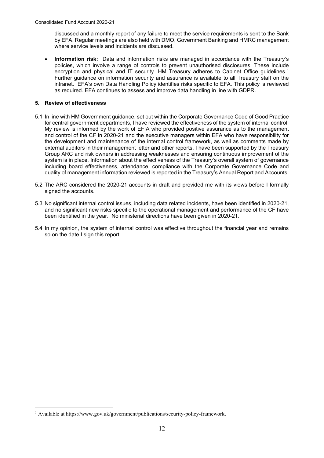discussed and a monthly report of any failure to meet the service requirements is sent to the Bank by EFA. Regular meetings are also held with DMO, Government Banking and HMRC management where service levels and incidents are discussed.

 • **Information risk:** Data and information risks are managed in accordance with the Treasury's encryption and physical and IT security. HM Treasury adheres to Cabinet Office guidelines.<sup>1</sup> Further guidance on information security and assurance is available to all Treasury staff on the policies, which involve a range of controls to prevent unauthorised disclosures. These include intranet. EFA's own Data Handling Policy identifies risks specific to EFA. This policy is reviewed as required. EFA continues to assess and improve data handling in line with GDPR.

#### **5. Review of effectiveness**

- 5.1 In line with HM Government guidance, set out within the Corporate Governance Code of Good Practice for central government departments, I have reviewed the effectiveness of the system of internal control. for central government departments, I have reviewed the effectiveness of the system of internal control.<br>My review is informed by the work of EFIA who provided positive assurance as to the management the development and maintenance of the internal control framework, as well as comments made by external auditors in their management letter and other reports. I have been supported by the Treasury quality of management information reviewed is reported in the Treasury's Annual Report and Accounts. and control of the CF in 2020-21 and the executive managers within EFA who have responsibility for Group ARC and risk owners in addressing weaknesses and ensuring continuous improvement of the system is in place. Information about the effectiveness of the Treasury's overall system of governance including board effectiveness, attendance, compliance with the Corporate Governance Code and
- 5.2 The ARC considered the 2020-21 accounts in draft and provided me with its views before I formally signed the accounts.
- 5.3 No significant internal control issues, including data related incidents, have been identified in 2020-21, and no significant new risks specific to the operational management and performance of the CF have been identified in the year. No ministerial directions have been given in 2020-21.
- 5.4 In my opinion, the system of internal control was effective throughout the financial year and remains so on the date I sign this report.

<span id="page-14-0"></span><sup>&</sup>lt;sup>1</sup> Available at<https://www.gov.uk/government/publications/security-policy-framework>.<br>
12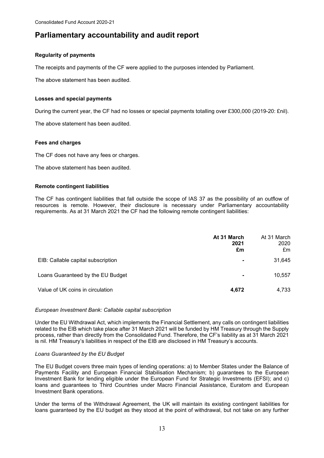### **Parliamentary accountability and audit report**

#### **Regularity of payments**

The receipts and payments of the CF were applied to the purposes intended by Parliament.

The above statement has been audited.

#### **Losses and special payments**

During the current year, the CF had no losses or special payments totalling over £300,000 (2019-20: £nil).

The above statement has been audited.

#### **Fees and charges**

The CF does not have any fees or charges.

The above statement has been audited.

#### **Remote contingent liabilities**

 The CF has contingent liabilities that fall outside the scope of IAS 37 as the possibility of an outflow of requirements. As at 31 March 2021 the CF had the following remote contingent liabilities: resources is remote. However, their disclosure is necessary under Parliamentary accountability

|                                    | At 31 March<br>2021<br>£m | At 31 March<br>2020<br>£m |
|------------------------------------|---------------------------|---------------------------|
| EIB: Callable capital subscription | ۰                         | 31,645                    |
| Loans Guaranteed by the EU Budget  | ۰                         | 10,557                    |
| Value of UK coins in circulation   | 4,672                     | 4,733                     |

#### *European Investment Bank: Callable capital subscription*

Under the EU Withdrawal Act, which implements the Financial Settlement, any calls on contingent liabilities related to the EIB which take place after 31 March 2021 will be funded by HM Treasury through the Supply process, rather than directly from the Consolidated Fund. Therefore, the CF's liability as at 31 March 2021 is nil. HM Treasury's liabilities in respect of the EIB are disclosed in HM Treasury's accounts.

#### *Loans Guaranteed by the EU Budget*

 The EU Budget covers three main types of lending operations: a) to Member States under the Balance of Investment Bank for lending eligible under the European Fund for Strategic Investments (EFSI); and c) Payments Facility and European Financial Stabilisation Mechanism; b) guarantees to the European loans and guarantees to Third Countries under Macro Financial Assistance, Euratom and European Investment Bank operations.

 Under the terms of the Withdrawal Agreement, the UK will maintain its existing contingent liabilities for loans guaranteed by the EU budget as they stood at the point of withdrawal, but not take on any further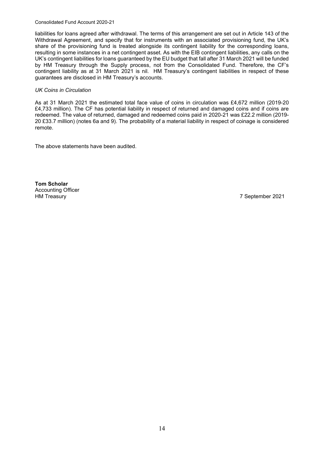#### Consolidated Fund Account 2020-21

 liabilities for loans agreed after withdrawal. The terms of this arrangement are set out in Article 143 of the Withdrawal Agreement, and specify that for instruments with an associated provisioning fund, the UK's UK's contingent liabilities for loans guaranteed by the EU budget that fall after 31 March 2021 will be funded i. share of the provisioning fund is treated alongside its contingent liability for the corresponding loans, resulting in some instances in a net contingent asset. As with the EIB contingent liabilities, any calls on the by HM Treasury through the Supply process, not from the Consolidated Fund. Therefore, the CF's contingent liability as at 31 March 2021 is nil. HM Treasury's contingent liabilities in respect of these guarantees are disclosed in HM Treasury's accounts.

#### *UK Coins in Circulation*

 As at 31 March 2021 the estimated total face value of coins in circulation was £4,672 million (2019-20 £4,733 million). The CF has potential liability in respect of returned and damaged coins and if coins are redeemed. The value of returned, damaged and redeemed coins paid in 2020-21 was £22.2 million (2019- 20 £33.7 million) (notes 6a and 9). The probability of a material liability in respect of coinage is considered remote.

The above statements have been audited.

**HM Treasury Tom Scholar**  Accounting Officer

7 September 2021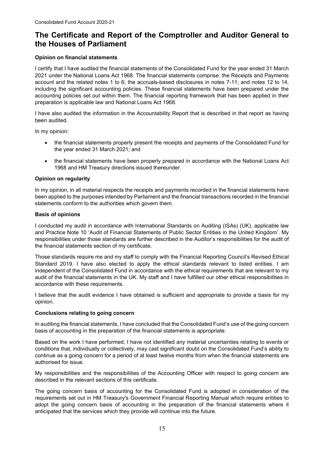## **The Certificate and Report of the Comptroller and Auditor General to the Houses of Parliament**

#### **Opinion on financial statements**

 account and the related notes 1 to 6; the accruals-based disclosures in notes 7-11; and notes 12 to 14, accounting policies set out within them. The financial reporting framework that has been applied in their preparation is applicable law and National Loans Act 1968. I certify that I have audited the financial statements of the Consolidated Fund for the year ended 31 March 2021 under the National Loans Act 1968. The financial statements comprise: the Receipts and Payments including the significant accounting policies. These financial statements have been prepared under the

 I have also audited the information in the Accountability Report that is described in that report as having been audited.

In my opinion:

- the financial statements properly present the receipts and payments of the Consolidated Fund for the year ended 31 March 2021; and
- • the financial statements have been properly prepared in accordance with the National Loans Act 1968 and HM Treasury directions issued thereunder.

#### **Opinion on regularity**

 In my opinion, in all material respects the receipts and payments recorded in the financial statements have been applied to the purposes intended by Parliament and the financial transactions recorded in the financial statements conform to the authorities which govern them.

#### **Basis of opinions**

 I conducted my audit in accordance with International Standards on Auditing (ISAs) (UK), applicable law and Practice Note 10 'Audit of Financial Statements of Public Sector Entities in the United Kingdom'. My responsibilities under those standards are further described in the Auditor's responsibilities for the audit of the financial statements section of my certificate.

Those standards require me and my staff to comply with the Financial Reporting Council's Revised Ethical Standard 2019. I have also elected to apply the ethical standards relevant to listed entities. I am independent of the Consolidated Fund in accordance with the ethical requirements that are relevant to my audit of the financial statements in the UK. My staff and I have fulfilled our other ethical responsibilities in accordance with these requirements.

 I believe that the audit evidence I have obtained is sufficient and appropriate to provide a basis for my opinion.

#### **Conclusions relating to going concern**

In auditing the financial statements, I have concluded that the Consolidated Fund's use of the going concern basis of accounting in the preparation of the financial statements is appropriate.

 conditions that, individually or collectively, may cast significant doubt on the Consolidated Fund's ability to Based on the work I have performed, I have not identified any material uncertainties relating to events or continue as a going concern for a period of at least twelve months from when the financial statements are authorised for issue.

My responsibilities and the responsibilities of the Accounting Officer with respect to going concern are described in the relevant sections of this certificate.

 requirements set out in HM Treasury's Government Financial Reporting Manual which require entities to The going concern basis of accounting for the Consolidated Fund is adopted in consideration of the adopt the going concern basis of accounting in the preparation of the financial statements where it anticipated that the services which they provide will continue into the future.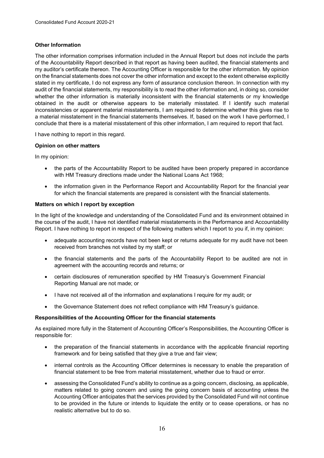#### **Other Information**

 my auditor's certificate thereon. The Accounting Officer is responsible for the other information. My opinion on the financial statements does not cover the other information and except to the extent otherwise explicitly stated in my certificate, I do not express any form of assurance conclusion thereon. In connection with my obtained in the audit or otherwise appears to be materially misstated. If I identify such material The other information comprises information included in the Annual Report but does not include the parts of the Accountability Report described in that report as having been audited, the financial statements and audit of the financial statements, my responsibility is to read the other information and, in doing so, consider whether the other information is materially inconsistent with the financial statements or my knowledge inconsistencies or apparent material misstatements, I am required to determine whether this gives rise to a material misstatement in the financial statements themselves. If, based on the work I have performed, I conclude that there is a material misstatement of this other information, I am required to report that fact.

I have nothing to report in this regard.

#### **Opinion on other matters**

In my opinion:

- • the parts of the Accountability Report to be audited have been properly prepared in accordance with HM Treasury directions made under the National Loans Act 1968;
- • the information given in the Performance Report and Accountability Report for the financial year for which the financial statements are prepared is consistent with the financial statements.

#### **Matters on which I report by exception**

In the light of the knowledge and understanding of the Consolidated Fund and its environment obtained in the course of the audit, I have not identified material misstatements in the Performance and Accountability Report. I have nothing to report in respect of the following matters which I report to you if, in my opinion:

- adequate accounting records have not been kept or returns adequate for my audit have not been received from branches not visited by my staff; or
- the financial statements and the parts of the Accountability Report to be audited are not in agreement with the accounting records and returns; or
- certain disclosures of remuneration specified by HM Treasury's Government Financial Reporting Manual are not made; or
- I have not received all of the information and explanations I require for my audit; or
- the Governance Statement does not reflect compliance with HM Treasury's guidance.

#### **Responsibilities of the Accounting Officer for the financial statements**

 As explained more fully in the Statement of Accounting Officer's Responsibilities, the Accounting Officer is responsible for:

- • the preparation of the financial statements in accordance with the applicable financial reporting framework and for being satisfied that they give a true and fair view;
- • internal controls as the Accounting Officer determines is necessary to enable the preparation of financial statement to be free from material misstatement, whether due to fraud or error.
- to be provided in the future or intends to liquidate the entity or to cease operations, or has no • assessing the Consolidated Fund's ability to continue as a going concern, disclosing, as applicable, matters related to going concern and using the going concern basis of accounting unless the Accounting Officer anticipates that the services provided by the Consolidated Fund will not continue realistic alternative but to do so.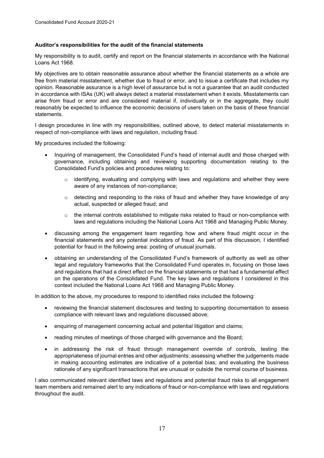#### **Auditor's responsibilities for the audit of the financial statements**

My responsibility is to audit, certify and report on the financial statements in accordance with the National Loans Act 1968.

 opinion. Reasonable assurance is a high level of assurance but is not a guarantee that an audit conducted My objectives are to obtain reasonable assurance about whether the financial statements as a whole are free from material misstatement, whether due to fraud or error, and to issue a certificate that includes my in accordance with ISAs (UK) will always detect a material misstatement when it exists. Misstatements can arise from fraud or error and are considered material if, individually or in the aggregate, they could reasonably be expected to influence the economic decisions of users taken on the basis of these financial statements.

 I design procedures in line with my responsibilities, outlined above, to detect material misstatements in respect of non-compliance with laws and regulation, including fraud.

My procedures included the following:

- Inquiring of management, the Consolidated Fund's head of internal audit and those charged with governance, including obtaining and reviewing supporting documentation relating to the Consolidated Fund's policies and procedures relating to:
	- $\circ$  identifying, evaluating and complying with laws and regulations and whether they were aware of any instances of non-compliance;
	- $\circ$  detecting and responding to the risks of fraud and whether they have knowledge of any actual, suspected or alleged fraud; and
	- $\circ$  the internal controls established to mitigate risks related to fraud or non-compliance with laws and regulations including the National Loans Act 1968 and Managing Public Money.
- financial statements and any potential indicators of fraud. As part of this discussion, I identified • discussing among the engagement team regarding how and where fraud might occur in the potential for fraud in the following area: posting of unusual journals.
- • obtaining an understanding of the Consolidated Fund's framework of authority as well as other legal and regulatory frameworks that the Consolidated Fund operates in, focusing on those laws and regulations that had a direct effect on the financial statements or that had a fundamental effect context included the National Loans Act 1968 and Managing Public Money. on the operations of the Consolidated Fund. The key laws and regulations I considered in this

In addition to the above, my procedures to respond to identified risks included the following:

- • reviewing the financial statement disclosures and testing to supporting documentation to assess compliance with relevant laws and regulations discussed above;
- enquiring of management concerning actual and potential litigation and claims;
- reading minutes of meetings of those charged with governance and the Board;
- appropriateness of journal entries and other adjustments; assessing whether the judgements made in making accounting estimates are indicative of a potential bias; and evaluating the business • in addressing the risk of fraud through management override of controls, testing the rationale of any significant transactions that are unusual or outside the normal course of business.

 I also communicated relevant identified laws and regulations and potential fraud risks to all engagement team members and remained alert to any indications of fraud or non-compliance with laws and regulations throughout the audit.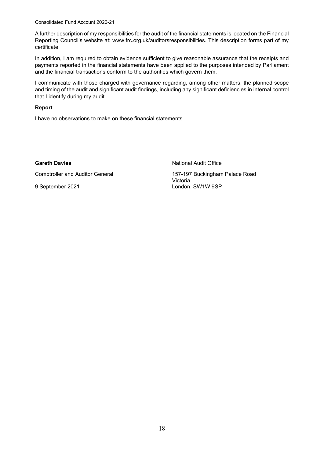Consolidated Fund Account 2020-21

 Reporting Council's website at: [www.frc.org.uk/auditorsresponsibilities.](www.frc.org.uk/auditorsresponsibilities) This description forms part of my A further description of my responsibilities for the audit of the financial statements is located on the Financial certificate

 payments reported in the financial statements have been applied to the purposes intended by Parliament In addition, I am required to obtain evidence sufficient to give reasonable assurance that the receipts and and the financial transactions conform to the authorities which govern them.

 I communicate with those charged with governance regarding, among other matters, the planned scope and timing of the audit and significant audit findings, including any significant deficiencies in internal control that I identify during my audit.

#### **Report**

I have no observations to make on these financial statements.

**Comptroller and Auditor General** 

**Gareth Davies Careth Davies National Audit Office** 

157-197 Buckingham Palace Road Victoria 9 September 2021 **London, SW1W 9SP**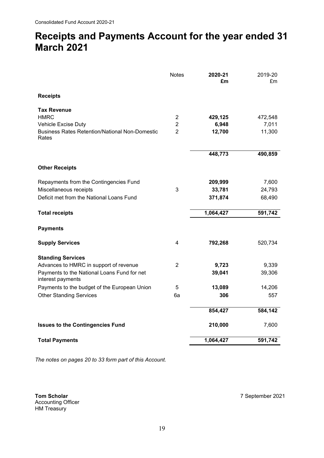## **Receipts and Payments Account for the year ended 31 March 2021**

|                                                                              | <b>Notes</b>                     | 2020-21<br>£m   | 2019-20<br>£m   |
|------------------------------------------------------------------------------|----------------------------------|-----------------|-----------------|
| <b>Receipts</b>                                                              |                                  |                 |                 |
| <b>Tax Revenue</b>                                                           |                                  |                 |                 |
| <b>HMRC</b>                                                                  | $\overline{c}$                   | 429,125         | 472,548         |
| Vehicle Excise Duty<br><b>Business Rates Retention/National Non-Domestic</b> | $\overline{2}$<br>$\overline{2}$ | 6,948<br>12,700 | 7,011<br>11,300 |
| Rates                                                                        |                                  |                 |                 |
|                                                                              |                                  | 448,773         | 490,859         |
| <b>Other Receipts</b>                                                        |                                  |                 |                 |
| Repayments from the Contingencies Fund                                       |                                  | 209,999         | 7,600           |
| Miscellaneous receipts                                                       | 3                                | 33,781          | 24,793          |
| Deficit met from the National Loans Fund                                     |                                  | 371,874         | 68,490          |
| <b>Total receipts</b>                                                        |                                  | 1,064,427       | 591,742         |
| <b>Payments</b>                                                              |                                  |                 |                 |
| <b>Supply Services</b>                                                       | 4                                | 792,268         | 520,734         |
| <b>Standing Services</b>                                                     |                                  |                 |                 |
| Advances to HMRC in support of revenue                                       | $\overline{2}$                   | 9,723           | 9,339           |
| Payments to the National Loans Fund for net<br>interest payments             |                                  | 39,041          | 39,306          |
| Payments to the budget of the European Union                                 | 5                                | 13,089          | 14,206          |
| <b>Other Standing Services</b>                                               | 6a                               | 306             | 557             |
|                                                                              |                                  | 854,427         | 584,142         |
| <b>Issues to the Contingencies Fund</b>                                      |                                  | 210,000         | 7,600           |
| <b>Total Payments</b>                                                        |                                  | 1,064,427       | 591,742         |

 *The notes on pages 20 to 33 form part of this Account.* 

 **Tom Scholar** HM Treasury Accounting Officer **Tom Scholar**<br>Accounting Officer<br>HM Treasury 7 September 2021<br>HM Treasury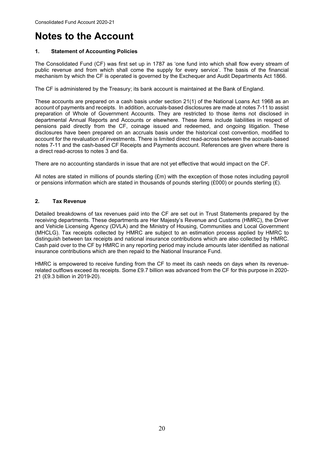## <span id="page-22-0"></span>**Notes to the Account**

#### $\overline{\mathbf{1}}$ . **1. Statement of Accounting Policies**

 The Consolidated Fund (CF) was first set up in 1787 as 'one fund into which shall flow every stream of public revenue and from which shall come the supply for every service'. The basis of the financial mechanism by which the CF is operated is governed by the Exchequer and Audit Departments Act 1866.

The CF is administered by the Treasury; its bank account is maintained at the Bank of England.

 These accounts are prepared on a cash basis under section 21(1) of the National Loans Act 1968 as an account of payments and receipts. In addition, accruals-based disclosures are made at notes 7-11 to assist departmental Annual Reports and Accounts or elsewhere. These items include liabilities in respect of pensions paid directly from the CF, coinage issued and redeemed, and ongoing litigation. These account for the revaluation of investments. There is limited direct read-across between the accruals-based notes 7-11 and the cash-based CF Receipts and Payments account. References are given where there is preparation of Whole of Government Accounts. They are restricted to those items not disclosed in disclosures have been prepared on an accruals basis under the historical cost convention, modified to a direct read-across to notes 3 and 6a.

There are no accounting standards in issue that are not yet effective that would impact on the CF.

All notes are stated in millions of pounds sterling (£m) with the exception of those notes including payroll or pensions information which are stated in thousands of pounds sterling (£000) or pounds sterling (£).

#### **2. Tax Revenue**

 Detailed breakdowns of tax revenues paid into the CF are set out in Trust Statements prepared by the and Vehicle Licensing Agency (DVLA) and the Ministry of Housing, Communities and Local Government Cash paid over to the CF by HMRC in any reporting period may include amounts later identified as national receiving departments. These departments are Her Majesty's Revenue and Customs (HMRC), the Driver (MHCLG). Tax receipts collected by HMRC are subject to an estimation process applied by HMRC to distinguish between tax receipts and national insurance contributions which are also collected by HMRC. insurance contributions which are then repaid to the National Insurance Fund.

 HMRC is empowered to receive funding from the CF to meet its cash needs on days when its revenue- 21 (£9.3 billion in 2019-20). related outflows exceed its receipts. Some £9.7 billion was advanced from the CF for this purpose in 2020-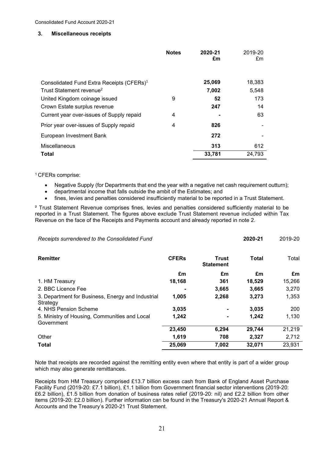#### $3.$ **3. Miscellaneous receipts**

|                                                       | <b>Notes</b> | 2020-21<br>£m | 2019-20<br>£m |
|-------------------------------------------------------|--------------|---------------|---------------|
| Consolidated Fund Extra Receipts (CFERs) <sup>1</sup> |              | 25,069        | 18,383        |
| Trust Statement revenue <sup>2</sup>                  |              | 7,002         | 5,548         |
| United Kingdom coinage issued                         | 9            | 52            | 173           |
| Crown Estate surplus revenue                          |              | 247           | 14            |
| Current year over-issues of Supply repaid             | 4            |               | 63            |
| Prior year over-issues of Supply repaid               | 4            | 826           |               |
| European Investment Bank                              |              | 272           |               |
| Miscellaneous                                         |              | 313           | 612           |
| Total                                                 |              | 33,781        | 24,793        |

#### <sup>1</sup> CFERs comprise:

- Negative Supply (for Departments that end the year with a negative net cash requirement outturn);
- departmental income that falls outside the ambit of the Estimates; and
- fines, levies and penalties considered insufficiently material to be reported in a Trust Statement.

 reported in a Trust Statement. The figures above exclude Trust Statement revenue included within Tax ² Trust Statement Revenue comprises fines, levies and penalties considered sufficiently material to be Revenue on the face of the Receipts and Payments account and already reported in note 2.

| Receipts surrendered to the Consolidated Fund                 |              |                           | 2020-21 | 2019-20 |
|---------------------------------------------------------------|--------------|---------------------------|---------|---------|
| Remitter                                                      | <b>CFERs</b> | Trust<br><b>Statement</b> | Total   | Total   |
|                                                               | £m           | £m                        | £m      | £m      |
| 1. HM Treasury                                                | 18,168       | 361                       | 18,529  | 15,266  |
| 2. BBC Licence Fee                                            |              | 3,665                     | 3,665   | 3,270   |
| 3. Department for Business, Energy and Industrial<br>Strategy | 1,005        | 2,268                     | 3,273   | 1,353   |
| 4. NHS Pension Scheme                                         | 3,035        |                           | 3,035   | 200     |
| 5. Ministry of Housing, Communities and Local<br>Government   | 1,242        | ٠                         | 1,242   | 1,130   |
|                                                               | 23,450       | 6,294                     | 29,744  | 21,219  |
| Other                                                         | 1,619        | 708                       | 2,327   | 2,712   |
| <b>Total</b>                                                  | 25,069       | 7,002                     | 32,071  | 23,931  |

 Note that receipts are recorded against the remitting entity even where that entity is part of a wider group which may also generate remittances.

which may also generate remittances.<br>Receipts from HM Treasury comprised £13.7 billion excess cash from Bank of England Asset Purchase £6.2 billion), £1.5 billion from donation of business rates relief (2019-20: nil) and £2.2 billion from other items (2019-20: £2.0 billion). Further information can be found in the Treasury's 2020-21 Annual Report & Facility Fund (2019-20: £7.1 billion), £1.1 billion from Government financial sector interventions (2019-20: Accounts and the Treasury's 2020-21 Trust Statement.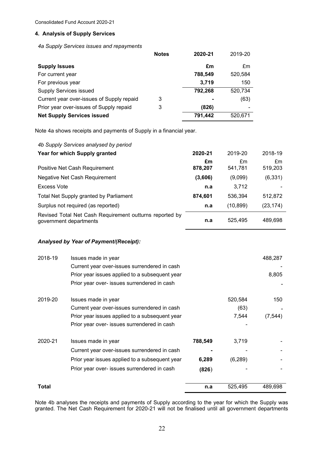#### **4. Analysis of Supply Services**

*4a Supply Services issues and repayments* 

|                                           | <b>Notes</b> | 2020-21 | 2019-20 |
|-------------------------------------------|--------------|---------|---------|
| <b>Supply Issues</b>                      |              | £m      | £m      |
| For current year                          |              | 788,549 | 520,584 |
| For previous year                         |              | 3,719   | 150     |
| <b>Supply Services issued</b>             |              | 792,268 | 520,734 |
| Current year over-issues of Supply repaid | 3            |         | (63)    |
| Prior year over-issues of Supply repaid   | 3            | (826)   | -       |
| <b>Net Supply Services issued</b>         |              | 791,442 | 520,671 |

Note 4a shows receipts and payments of Supply in a financial year.

| 4b Supply Services analysed by period                                             |         |           |           |
|-----------------------------------------------------------------------------------|---------|-----------|-----------|
| Year for which Supply granted                                                     | 2020-21 | 2019-20   | 2018-19   |
|                                                                                   | £m      | £m        | £m        |
| Positive Net Cash Requirement                                                     | 878,207 | 541,781   | 519,203   |
| Negative Net Cash Requirement                                                     | (3,606) | (9,099)   | (6, 331)  |
| Excess Vote                                                                       | n.a     | 3,712     |           |
| Total Net Supply granted by Parliament                                            | 874.601 | 536,394   | 512,872   |
| Surplus not required (as reported)                                                | n.a     | (10, 899) | (23, 174) |
| Revised Total Net Cash Requirement outturns reported by<br>government departments | n.a     | 525,495   | 489,698   |

#### *Analysed by Year of Payment/(Receipt):*

| 2018-19 | Issues made in year                            |         |          | 488,287  |
|---------|------------------------------------------------|---------|----------|----------|
|         | Current year over-issues surrendered in cash   |         |          |          |
|         | Prior year issues applied to a subsequent year |         |          | 8,805    |
|         | Prior year over- issues surrendered in cash    |         |          |          |
| 2019-20 | Issues made in year                            |         | 520,584  | 150      |
|         | Current year over-issues surrendered in cash   |         | (63)     |          |
|         | Prior year issues applied to a subsequent year |         | 7,544    | (7, 544) |
|         | Prior year over- issues surrendered in cash    |         |          |          |
| 2020-21 | Issues made in year                            | 788,549 | 3,719    |          |
|         | Current year over-issues surrendered in cash   |         |          |          |
|         | Prior year issues applied to a subsequent year | 6,289   | (6, 289) |          |
|         | Prior year over- issues surrendered in cash    | (826)   |          |          |
| Total   |                                                | n.a     | 525,495  | 489,698  |

 Note 4b analyses the receipts and payments of Supply according to the year for which the Supply was granted. The Net Cash Requirement for 2020-21 will not be finalised until all government departments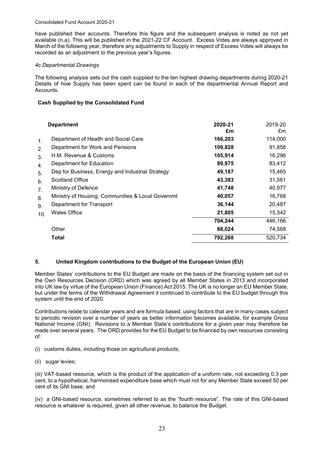#### Consolidated Fund Account 2020-21

 have published their accounts. Therefore this figure and the subsequent analysis is noted as not yet available (n.a). This will be published in the 2021-22 CF Account. Excess Votes are always approved in March of the following year, therefore any adjustments to Supply in respect of Excess Votes will always be recorded as an adjustment to the previous year's figures.

#### *4c Departmental Drawings*

 Details of how Supply has been spent can be found in each of the departmental Annual Report and The following analysis sets out the cash supplied to the ten highest drawing departments during 2020-21 Accounts.

#### **Cash Supplied by the Consolidated Fund**

|                                                           | <b>Department</b>                                                                                                                                                                                                                                                                                                                           | 2020-21<br>£m                                                                                                  | 2019-20<br>£m                                                                                                |
|-----------------------------------------------------------|---------------------------------------------------------------------------------------------------------------------------------------------------------------------------------------------------------------------------------------------------------------------------------------------------------------------------------------------|----------------------------------------------------------------------------------------------------------------|--------------------------------------------------------------------------------------------------------------|
| 1.<br>2.<br>3.<br>4.<br>5.<br>6.<br>7.<br>8.<br>9.<br>10. | Department of Health and Social Care<br>Department for Work and Pensions<br>H.M. Revenue & Customs<br>Department for Education<br>Dep for Business, Energy and Industrial Strategy<br><b>Scotland Office</b><br>Ministry of Defence<br>Ministry of Housing, Communities & Local Governmt<br>Department for Transport<br><b>Wales Office</b> | 166,203<br>109,828<br>105,914<br>89,975<br>49,187<br>43,383<br>41,748<br>40,057<br>36,144<br>21,805<br>704,244 | 114,000<br>91,858<br>16,296<br>83,412<br>15,465<br>31,561<br>40,977<br>16,768<br>20,487<br>15,342<br>446,166 |
|                                                           | Other<br>Total                                                                                                                                                                                                                                                                                                                              | 88,024<br>792,268                                                                                              | 74,568<br>520,734                                                                                            |
|                                                           |                                                                                                                                                                                                                                                                                                                                             |                                                                                                                |                                                                                                              |

#### **5. United Kingdom contributions to the Budget of the European Union (EU)**

 Member States' contributions to the EU Budget are made on the basis of the financing system set out in the Own Resources Decision (ORD) which was agreed by all Member States in 2013 and incorporated into UK law by virtue of the European Union (Finance) Act 2015. The UK is no longer an EU Member State, but under the terms of the Withdrawal Agreement it continued to contribute to the EU budget through this system until the end of 2020.

 to periodic revision over a number of years as better information becomes available, for example Gross National Income (GNI). Revisions to a Member State's contributions for a given year may therefore be Contributions relate to calendar years and are formula based, using factors that are in many cases subject made over several years. The ORD provides for the EU Budget to be financed by own resources consisting of:

- (i) customs duties, including those on agricultural products;
- (ii) sugar levies;

 (iii) VAT-based resource, which is the product of the application of a uniform rate, not exceeding 0.3 per cent, to a hypothetical, harmonised expenditure base which must not for any Member State exceed 50 per cent of its GNI base; and

 (iv) a GNI-based resource, sometimes referred to as the "fourth resource". The rate of this GNI-based resource is whatever is required, given all other revenue, to balance the Budget.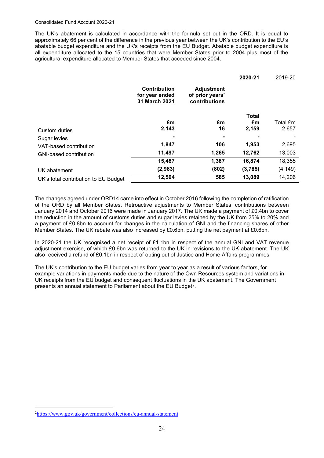#### Consolidated Fund Account 2020-21

 abatable budget expenditure and the UK's receipts from the EU Budget. Abatable budget expenditure is The UK's abatement is calculated in accordance with the formula set out in the ORD. It is equal to approximately 66 per cent of the difference in the previous year between the UK's contribution to the EU's all expenditure allocated to the 15 countries that were Member States prior to 2004 plus most of the agricultural expenditure allocated to Member States that acceded since 2004.

|                                      |                                                        |                                                       | 2020-21 | 2019-20  |
|--------------------------------------|--------------------------------------------------------|-------------------------------------------------------|---------|----------|
|                                      | <b>Contribution</b><br>for year ended<br>31 March 2021 | <b>Adjustment</b><br>of prior years'<br>contributions |         |          |
|                                      |                                                        |                                                       | Total   |          |
|                                      | £m                                                     | £m                                                    | £m      | Total £m |
| Custom duties                        | 2,143                                                  | 16                                                    | 2,159   | 2,657    |
| Sugar levies                         |                                                        |                                                       |         |          |
| VAT-based contribution               | 1,847                                                  | 106                                                   | 1,953   | 2,695    |
| GNI-based contribution               | 11,497                                                 | 1,265                                                 | 12,762  | 13,003   |
|                                      | 15,487                                                 | 1,387                                                 | 16,874  | 18,355   |
| UK abatement                         | (2,983)                                                | (802)                                                 | (3,785) | (4, 149) |
| UK's total contribution to EU Budget | 12,504                                                 | 585                                                   | 13,089  | 14,206   |

 a payment of £0.8bn to account for changes in the calculation of GNI and the financing shares of other The changes agreed under ORD14 came into effect in October 2016 following the completion of ratification of the ORD by all Member States. Retroactive adjustments to Member States' contributions between January 2014 and October 2016 were made in January 2017. The UK made a payment of £0.4bn to cover the reduction in the amount of customs duties and sugar levies retained by the UK from 25% to 20% and Member States. The UK rebate was also increased by £0.6bn, putting the net payment at £0.6bn.

 adjustment exercise, of which £0.6bn was returned to the UK in revisions to the UK abatement. The UK In 2020-21 the UK recognised a net receipt of £1.1bn in respect of the annual GNI and VAT revenue also received a refund of £0.1bn in respect of opting out of Justice and Home Affairs programmes.

The UK's contribution to the EU budget varies from year to year as a result of various factors, for example variations in payments made due to the nature of the Own Resources system and variations in UK receipts from the EU budget and consequent fluctuations in the UK abatement. The Government presents an annual statement to Parliament about the EU Budget<sup>[2](#page-26-0)</sup>.

<span id="page-26-0"></span> 2 <https://www.gov.uk/government/collections/eu-annual-statement>24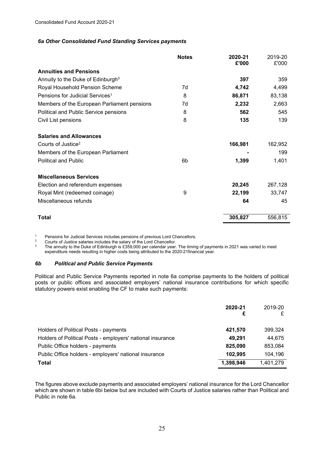#### *6a Other Consolidated Fund Standing Services payments*

|                                               | <b>Notes</b> | 2020-21 | 2019-20 |
|-----------------------------------------------|--------------|---------|---------|
| <b>Annuities and Pensions</b>                 |              | £'000   | £'000   |
|                                               |              |         |         |
| Annuity to the Duke of Edinburgh <sup>3</sup> |              | 397     | 359     |
| Royal Household Pension Scheme                | 7d           | 4,742   | 4,499   |
| Pensions for Judicial Services <sup>1</sup>   | 8            | 86,871  | 83,138  |
| Members of the European Parliament pensions   | 7d           | 2,232   | 2,663   |
| Political and Public Service pensions         | 8            | 562     | 545     |
| Civil List pensions                           | 8            | 135     | 139     |
| <b>Salaries and Allowances</b>                |              |         |         |
| Courts of Justice <sup>2</sup>                |              | 166,981 | 162,952 |
| Members of the European Parliament            |              |         | 199     |
| <b>Political and Public</b>                   | 6b           | 1,399   | 1,401   |
| <b>Miscellaneous Services</b>                 |              |         |         |
| Election and referendum expenses              |              | 20,245  | 267,128 |
| Royal Mint (redeemed coinage)                 | 9            | 22,199  | 33,747  |
| Miscellaneous refunds                         |              | 64      | 45      |
| Total                                         |              | 305,827 | 556,815 |

 $\overline{1}$ 

<sup>1</sup> Pensions for Judicial Services includes pensions of previous Lord Chancellors.<br><sup>2</sup> Courts of Justice salaries includes the salary of the Lord Chancellor.<br><sup>3</sup> The annuity to the Duke of Edinburgh is £359 expenditure needs resulting in higher costs being attributed to the 2020-21financial year.

#### *6b Political and Public Service Payments*

 Political and Public Service Payments reported in note 6a comprise payments to the holders of political posts or public offices and associated employers' national insurance contributions for which specific statutory powers exist enabling the CF to make such payments:

|                                                            | 2020-21<br>£ | 2019-20   |
|------------------------------------------------------------|--------------|-----------|
|                                                            |              |           |
| Holders of Political Posts - payments                      | 421,570      | 399.324   |
| Holders of Political Posts - employers' national insurance | 49.291       | 44.675    |
| Public Office holders - payments                           | 825,090      | 853,084   |
| Public Office holders - employers' national insurance      | 102.995      | 104,196   |
| <b>Total</b>                                               | 1,398,946    | 1,401,279 |

 The figures above exclude payments and associated employers' national insurance for the Lord Chancellor which are shown in table 6bi below but are included with Courts of Justice salaries rather than Political and Public in note 6a.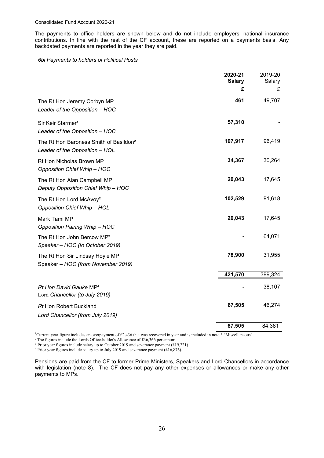The payments to office holders are shown below and do not include employers' national insurance contributions. In line with the rest of the CF account, these are reported on a payments basis. Any backdated payments are reported in the year they are paid.

#### *6bi Payments to holders of Political Posts*

|                                                                                      | 2020-21<br><b>Salary</b> | 2019-20<br>Salary |
|--------------------------------------------------------------------------------------|--------------------------|-------------------|
|                                                                                      | £                        | £                 |
| The Rt Hon Jeremy Corbyn MP<br>Leader of the Opposition - HOC                        | 461                      | 49,707            |
| Sir Keir Starmer <sup>1</sup><br>Leader of the Opposition - HOC                      | 57,310                   |                   |
| The Rt Hon Baroness Smith of Basildon <sup>2</sup><br>Leader of the Opposition - HOL | 107,917                  | 96,419            |
| Rt Hon Nicholas Brown MP<br><b>Opposition Chief Whip - HOC</b>                       | 34,367                   | 30,264            |
| The Rt Hon Alan Campbell MP<br>Deputy Opposition Chief Whip - HOC                    | 20,043                   | 17,645            |
| The Rt Hon Lord McAvoy <sup>2</sup><br><b>Opposition Chief Whip - HOL</b>            | 102,529                  | 91,618            |
| Mark Tami MP<br><b>Opposition Pairing Whip - HOC</b>                                 | 20,043                   | 17,645            |
| The Rt Hon John Bercow MP <sup>3</sup><br>Speaker - HOC (to October 2019)            |                          | 64,071            |
| The Rt Hon Sir Lindsay Hoyle MP<br>Speaker - HOC (from November 2019)                | 78,900                   | 31,955            |
|                                                                                      | 421,570                  | 399,324           |
| Rt Hon David Gauke MP <sup>4</sup><br>Lord Chancellor (to July 2019)                 |                          | 38,107            |
| <b>Rt Hon Robert Buckland</b><br>Lord Chancellor (from July 2019)                    | 67,505                   | 46,274            |
|                                                                                      | 67,505                   | 84,381            |

<sup>1</sup>Current year figure includes an overpayment of £2,436 that was recovered in year and is included in note 3 "Miscellaneous".

<sup>2</sup> The figures include the Lords Office-holder's Allowance of £36,366 per annum.

<sup>3</sup> Prior year figures include salary up to October 2019 and severance payment (£19,221).

<sup>4</sup> Prior year figures include salary up to July 2019 and severance payment (£16,876).

 Pensions are paid from the CF to former Prime Ministers, Speakers and Lord Chancellors in accordance with legislation (note 8). The CF does not pay any other expenses or allowances or make any other payments to MPs.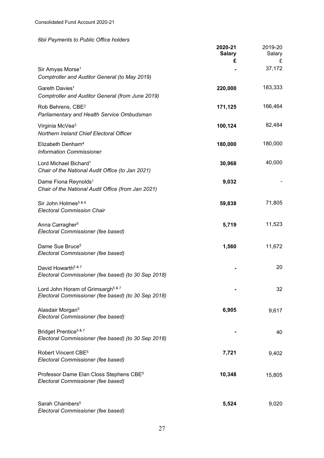### *6bii Payments to Public Office holders*

|                                                                                                          | 2020-21<br><b>Salary</b><br>£ | 2019-20<br>Salary<br>£ |
|----------------------------------------------------------------------------------------------------------|-------------------------------|------------------------|
| Sir Amyas Morse <sup>1</sup><br>Comptroller and Auditor General (to May 2019)                            |                               | 37,172                 |
| Gareth Davies <sup>1</sup><br>Comptroller and Auditor General (from June 2019)                           | 220,000                       | 183,333                |
| Rob Behrens, CBE <sup>2</sup><br>Parliamentary and Health Service Ombudsman                              | 171,125                       | 166,464                |
| Virginia McVea <sup>3</sup><br>Northern Ireland Chief Electoral Officer                                  | 100,124                       | 82,484                 |
| Elizabeth Denham <sup>4</sup><br><b>Information Commissioner</b>                                         | 180,000                       | 180,000                |
| Lord Michael Bichard <sup>1</sup><br>Chair of the National Audit Office (to Jan 2021)                    | 30,968                        | 40,000                 |
| Dame Fiona Reynolds <sup>1</sup><br>Chair of the National Audit Office (from Jan 2021)                   | 9,032                         |                        |
| Sir John Holmes <sup>5 &amp; 6</sup><br><b>Electoral Commission Chair</b>                                | 59,838                        | 71,805                 |
| Anna Carragher <sup>5</sup><br>Electoral Commissioner (fee based)                                        | 5,719                         | 11,523                 |
| Dame Sue Bruce <sup>5</sup><br>Electoral Commissioner (fee based)                                        | 1,560                         | 11,672                 |
| David Howarth <sup>5 &amp; 7</sup><br>Electoral Commissioner (fee based) (to 30 Sep 2018)                |                               | 20                     |
| Lord John Horam of Grimsargh <sup>5 &amp; 7</sup><br>Electoral Commissioner (fee based) (to 30 Sep 2018) |                               | 32                     |
| Alasdair Morgan <sup>5</sup><br>Electoral Commissioner (fee based)                                       | 6,905                         | 9,617                  |
| Bridget Prentice <sup>5 &amp; 7</sup><br>Electoral Commissioner (fee based) (to 30 Sep 2018)             |                               | 40                     |
| Robert Vincent CBE <sup>5</sup><br>Electoral Commissioner (fee based)                                    | 7,721                         | 9,402                  |
| Professor Dame Elan Closs Stephens CBE <sup>5</sup><br>Electoral Commissioner (fee based)                | 10,348                        | 15,805                 |
| Sarah Chambers <sup>5</sup><br>Electoral Commissioner (fee based)                                        | 5,524                         | 9,020                  |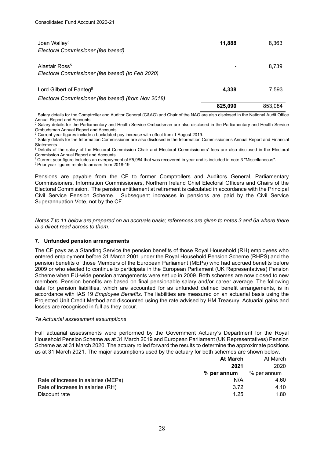| Joan Walley <sup>5</sup><br>Electoral Commissioner (fee based)                            | 11,888  | 8,363   |
|-------------------------------------------------------------------------------------------|---------|---------|
| Alastair Ross <sup>5</sup><br>Electoral Commissioner (fee based) (to Feb 2020)            |         | 8,739   |
| Lord Gilbert of Panteg <sup>5</sup><br>Electoral Commissioner (fee based) (from Nov 2018) | 4,338   | 7,593   |
|                                                                                           | 825,090 | 853.084 |

 1 Salary details for the Comptroller and Auditor General (C&AG) and Chair of the NAO are also disclosed in the National Audit Office Annual Report and Accounts.

2 Salary details for the Parliamentary and Health Service Ombudsman are also disclosed in the Parliamentary and Health Service Ombudsman Annual Report and Accounts<br><sup>3</sup> Current year figures include a backdated pay increase with effect from 1 August 2019.

<sup>3</sup> Current year figures include a backdated pay increase with effect from 1 August 2019.<br><sup>4</sup> Salary details for the Information Commissioner are also disclosed in the Information Commissioner's Annual Report and Financial Statements.

5 Details of the salary of the Electoral Commission Chair and Electoral Commissioners' fees are also disclosed in the Electoral Commission Annual Report and Accounts.

6 Current year figure includes an overpayment of £5,984 that was recovered in year and is included in note 3 "Miscellaneous".

7 Prior year figures relate to arrears from 2018-19

 Commissioners, Information Commissioners, Northern Ireland Chief Electoral Officers and Chairs of the Civil Service Pension Scheme. Subsequent increases in pensions are paid by the Civil Service Superannuation Vote, not by the CF. Pensions are payable from the CF to former Comptrollers and Auditors General, Parliamentary Electoral Commission. The pension entitlement at retirement is calculated in accordance with the Principal

 *Notes 7 to 11 below are prepared on an accruals basis; references are given to notes 3 and 6a where there is a direct read across to them.* 

#### **7. Unfunded pension arrangements**

 2009 or who elected to continue to participate in the European Parliament (UK Representatives) Pension Scheme when EU-wide pension arrangements were set up in 2009. Both schemes are now closed to new members. Pension benefits are based on final pensionable salary and/or career average. The following accordance with IAS 19 *Employee Benefits*. The liabilities are measured on an actuarial basis using the The CF pays as a Standing Service the pension benefits of those Royal Household (RH) employees who entered employment before 31 March 2001 under the Royal Household Pension Scheme (RHPS) and the pension benefits of those Members of the European Parliament (MEPs) who had accrued benefits before data for pension liabilities, which are accounted for as unfunded defined benefit arrangements, is in Projected Unit Credit Method and discounted using the rate advised by HM Treasury. Actuarial gains and losses are recognised in full as they occur.

#### *7a Actuarial assessment assumptions*

Full actuarial assessments were performed by the Government Actuary's Department for the Royal Household Pension Scheme as at 31 March 2019 and European Parliament (UK Representatives) Pension Scheme as at 31 March 2020. The actuary rolled forward the results to determine the approximate positions as at 31 March 2021. The major assumptions used by the actuary for both schemes are shown below.

|                                     | At March      | At March    |
|-------------------------------------|---------------|-------------|
|                                     | 2021          | 2020        |
|                                     | $%$ per annum | % per annum |
| Rate of increase in salaries (MEPs) | N/A           | 4.60        |
| Rate of increase in salaries (RH)   | 3.72          | 4.10        |
| Discount rate                       | 1.25          | 1.80        |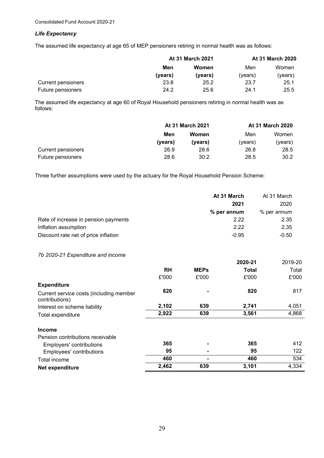#### *Life Expectancy*

The assumed life expectancy at age 65 of MEP pensioners retiring in normal health was as follows:

|                    | <b>At 31 March 2021</b> |         | <b>At 31 March 2020</b> |         |
|--------------------|-------------------------|---------|-------------------------|---------|
|                    | Men                     | Women   | Men                     | Women   |
|                    | (vears)                 | (years) | (vears)                 | (vears) |
| Current pensioners | 23.8                    | 25.2    | 23.7                    | 25.1    |
| Future pensioners  | 24.2                    | 25.6    | 24.1                    | 25.5    |

The assumed life expectancy at age 60 of Royal Household pensioners retiring in normal health was as follows:

|                    | <b>At 31 March 2021</b> |         |         | <b>At 31 March 2020</b> |
|--------------------|-------------------------|---------|---------|-------------------------|
|                    | Men                     | Women   | Men     | Women                   |
|                    | (years)                 | (vears) | (vears) | (years)                 |
| Current pensioners | 26.9                    | 28.6    | 26.8    | 28.5                    |
| Future pensioners  | 28.6                    | 30.2    | 28.5    | 30.2                    |

Three further assumptions were used by the actuary for the Royal Household Pension Scheme:

|                                      | At 31 March | At 31 March |
|--------------------------------------|-------------|-------------|
|                                      | 2021        | 2020        |
|                                      | % per annum | % per annum |
| Rate of increase in pension payments | 2.22        | 2.35        |
| Inflation assumption                 | 2.22        | 2.35        |
| Discount rate net of price inflation | $-0.95$     | $-0.50$     |

*7b 2020-21 Expenditure and income* 

|                                                           |           |             | 2020-21      | 2019-20 |
|-----------------------------------------------------------|-----------|-------------|--------------|---------|
|                                                           | <b>RH</b> | <b>MEPs</b> | <b>Total</b> | Total   |
|                                                           | £'000     | £'000       | £'000        | £'000   |
| <b>Expenditure</b>                                        |           |             |              |         |
| Current service costs (including member<br>contributions) | 820       |             | 820          | 817     |
| Interest on scheme liability                              | 2,102     | 639         | 2,741        | 4,051   |
| Total expenditure                                         | 2,922     | 639         | 3,561        | 4,868   |
| <b>Income</b>                                             |           |             |              |         |
| Pension contributions receivable                          |           |             |              |         |
| Employers' contributions                                  | 365       |             | 365          | 412     |
| Employees' contributions                                  | 95        |             | 95           | 122     |
| Total income                                              | 460       |             | 460          | 534     |
| Net expenditure                                           | 2,462     | 639         | 3,101        | 4,334   |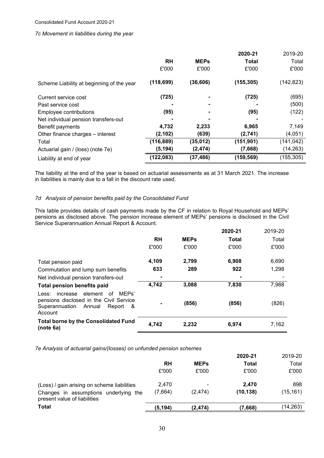#### *7c Movement in liabilities during the year*

|                                           |            |             | 2020-21      | 2019-20    |
|-------------------------------------------|------------|-------------|--------------|------------|
|                                           | <b>RH</b>  | <b>MEPs</b> | <b>Total</b> | Total      |
|                                           | £'000      | £'000       | £'000        | £'000      |
| Scheme Liability at beginning of the year | (118, 699) | (36, 606)   | (155, 305)   | (142,823)  |
| Current service cost                      | (725)      |             | (725)        | (695)      |
| Past service cost                         |            |             |              | (500)      |
| Employee contributions                    | (95)       |             | (95)         | (122)      |
| Net individual pension transfers-out      |            |             |              |            |
| Benefit payments                          | 4,732      | 2,233       | 6,965        | 7,149      |
| Other finance charges – interest          | (2, 102)   | (639)       | (2,741)      | (4,051)    |
| Total                                     | (116, 889) | (35, 012)   | (151, 901)   | (141,042)  |
| Actuarial gain / (loss) (note 7e)         | (5, 194)   | (2, 474)    | (7,668)      | (14, 263)  |
| Liability at end of year                  | (122, 083) | (37, 486)   | (159, 569)   | (155, 305) |

 in liabilities is mainly due to a fall in the discount rate used. The liability at the end of the year is based on actuarial assessments as at 31 March 2021. The increase

#### *7d Analysis of pension benefits paid by the Consolidated Fund*

 This table provides details of cash payments made by the CF in relation to Royal Household and MEPs' pensions as disclosed above. The pension increase element of MEPs' pensions is disclosed in the Civil Service Superannuation Annual Report & Account.

|                                                                                                                                              |           |             | 2020-21      | 2019-20 |
|----------------------------------------------------------------------------------------------------------------------------------------------|-----------|-------------|--------------|---------|
|                                                                                                                                              | <b>RH</b> | <b>MEPs</b> | <b>Total</b> | Total   |
|                                                                                                                                              | £'000     | £'000       | £'000        | £'000   |
| Total pension paid                                                                                                                           | 4,109     | 2,799       | 6,908        | 6,690   |
| Commutation and lump sum benefits                                                                                                            | 633       | 289         | 922          | 1,298   |
| Net individual pension transfers-out                                                                                                         |           |             |              |         |
| <b>Total pension benefits paid</b>                                                                                                           | 4,742     | 3,088       | 7,830        | 7,988   |
| MEPs'<br>element<br>increase<br>0f<br>Less:<br>pensions disclosed in the Civil Service<br>Superannuation<br>Annual<br>Report<br>&<br>Account |           | (856)       | (856)        | (826)   |
| <b>Total borne by the Consolidated Fund</b><br>(note 6a)                                                                                     | 4.742     | 2,232       | 6,974        | 7,162   |

*7e Analysis of actuarial gains/(losses) on unfunded pension schemes* 

|                                                                       |          |             | 2020-21      | 2019-20   |
|-----------------------------------------------------------------------|----------|-------------|--------------|-----------|
|                                                                       | RH       | <b>MEPs</b> | <b>Total</b> | Total     |
|                                                                       | £'000    | £'000       | £'000        | £'000     |
| (Loss) / gain arising on scheme liabilities                           | 2.470    |             | 2.470        | 898       |
| Changes in assumptions underlying the<br>present value of liabilities | (7,664)  | (2, 474)    | (10, 138)    | (15, 161) |
| <b>Total</b>                                                          | (5, 194) | (2, 474)    | (7,668)      | (14,263)  |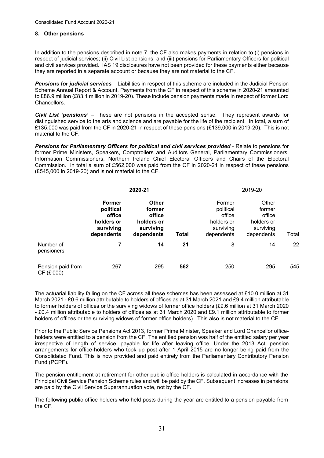#### **8. Other pensions**

 and civil services provided. IAS 19 disclosures have not been provided for these payments either because In addition to the pensions described in note 7, the CF also makes payments in relation to (i) pensions in respect of judicial services; (ii) Civil List pensions; and (iii) pensions for Parliamentary Officers for political they are reported in a separate account or because they are not material to the CF.

 *Pensions for judicial services* – Liabilities in respect of this scheme are included in the Judicial Pension Scheme Annual Report & Account. Payments from the CF in respect of this scheme in 2020-21 amounted to £86.9 million (£83.1 million in 2019-20). These include pension payments made in respect of former Lord Chancellors.

 *Civil List 'pensions'* – These are not pensions in the accepted sense. They represent awards for distinguished service to the arts and science and are payable for the life of the recipient. In total, a sum of £135,000 was paid from the CF in 2020-21 in respect of these pensions (£139,000 in 2019-20). This is not material to the CF.

 *Pensions for Parliamentary Officers for political and civil services provided* - Relate to pensions for Commission. In total a sum of £562,000 was paid from the CF in 2020-21 in respect of these pensions (£545,000 in 2019-20) and is not material to the CF. former Prime Ministers, Speakers, Comptrollers and Auditors General, Parliamentary Commissioners, Information Commissioners, Northern Ireland Chief Electoral Officers and Chairs of the Electoral

|                                 | 2020-21                                                                       |                                                                    |       | 2019-20                                                                |                                                                    |       |
|---------------------------------|-------------------------------------------------------------------------------|--------------------------------------------------------------------|-------|------------------------------------------------------------------------|--------------------------------------------------------------------|-------|
|                                 | <b>Former</b><br>political<br>office<br>holders or<br>surviving<br>dependents | Other<br>former<br>office<br>holders or<br>surviving<br>dependents | Total | Former<br>political<br>office<br>holders or<br>surviving<br>dependents | Other<br>former<br>office<br>holders or<br>surviving<br>dependents | Total |
| Number of<br>pensioners         | 7                                                                             | 14                                                                 | 21    | 8                                                                      | 14                                                                 | 22    |
| Pension paid from<br>CF (£'000) | 267                                                                           | 295                                                                | 562   | 250                                                                    | 295                                                                | 545   |

 The actuarial liability falling on the CF across all these schemes has been assessed at £10.0 million at 31 March 2021 - £0.6 million attributable to holders of offices as at 31 March 2021 and £9.4 million attributable to former holders of offices or the surviving widows of former office holders (£9.6 million at 31 March 2020 - £0.4 million attributable to holders of offices as at 31 March 2020 and £9.1 million attributable to former holders of offices or the surviving widows of former office holders). This also is not material to the CF.

 arrangements for office-holders who took up post after 1 April 2015 are no longer being paid from the Consolidated Fund. This is now provided and paid entirely from the Parliamentary Contributory Pension Fund (PCPF). Prior to the Public Service Pensions Act 2013, former Prime Minister, Speaker and Lord Chancellor officeholders were entitled to a pension from the CF. The entitled pension was half of the entitled salary per year irrespective of length of service, payable for life after leaving office. Under the 2013 Act, pension

Fund (PCPF).<br>The pension entitlement at retirement for other public office holders is calculated in accordance with the Principal Civil Service Pension Scheme rules and will be paid by the CF. Subsequent increases in pensions are paid by the Civil Service Superannuation vote, not by the CF.

 the CF. The following public office holders who held posts during the year are entitled to a pension payable from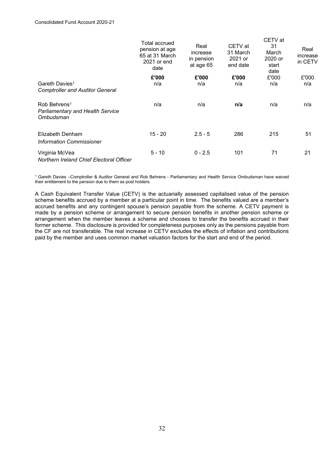|                                                                                  | Total accrued<br>pension at age<br>65 at 31 March<br>2021 or end<br>date | Real<br>increase<br>in pension<br>at age 65 | CETV at<br>31 March<br>2021 or<br>end date | CETV at<br>31<br>March<br>2020 or<br>start<br>date | Real<br>increase<br>in CETV |
|----------------------------------------------------------------------------------|--------------------------------------------------------------------------|---------------------------------------------|--------------------------------------------|----------------------------------------------------|-----------------------------|
|                                                                                  | £'000                                                                    | £'000                                       | £'000                                      | £'000                                              | £'000                       |
| Gareth Davies <sup>1</sup><br><b>Comptroller and Auditor General</b>             | n/a                                                                      | n/a                                         | n/a                                        | n/a                                                | n/a                         |
| Rob Behrens <sup>1</sup><br><b>Parliamentary and Health Service</b><br>Ombudsman | n/a                                                                      | n/a                                         | n/a                                        | n/a                                                | n/a                         |
| Elizabeth Denham<br>Information Commissioner                                     | $15 - 20$                                                                | $2.5 - 5$                                   | 286                                        | 215                                                | 51                          |
| Virginia McVea<br>Northern Ireland Chief Electoral Officer                       | $5 - 10$                                                                 | $0 - 2.5$                                   | 101                                        | 71                                                 | 21                          |

1 Gareth Davies –Comptroller & Auditor General and Rob Behrens - Parliamentary and Health Service Ombudsman have waived their entitlement to the pension due to them as post holders.

 arrangement when the member leaves a scheme and chooses to transfer the benefits accrued in their the CF are not transferable. The real increase in CETV excludes the effects of inflation and contributions A Cash Equivalent Transfer Value (CETV) is the actuarially assessed capitalised value of the pension scheme benefits accrued by a member at a particular point in time. The benefits valued are a member's accrued benefits and any contingent spouse's pension payable from the scheme. A CETV payment is made by a pension scheme or arrangement to secure pension benefits in another pension scheme or former scheme. This disclosure is provided for completeness purposes only as the pensions payable from paid by the member and uses common market valuation factors for the start and end of the period.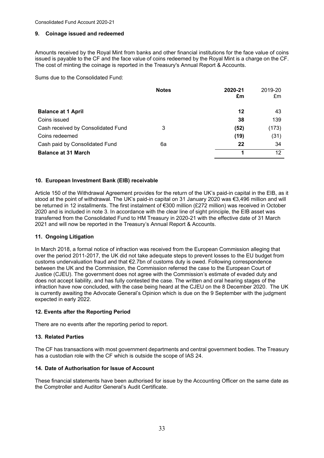#### **9. Coinage issued and redeemed**

 The cost of minting the coinage is reported in the Treasury's Annual Report & Accounts. Amounts received by the Royal Mint from banks and other financial institutions for the face value of coins issued is payable to the CF and the face value of coins redeemed by the Royal Mint is a charge on the CF.

Sums due to the Consolidated Fund:

|                                    | <b>Notes</b> | 2020-21<br>£m | 2019-20<br>£m |
|------------------------------------|--------------|---------------|---------------|
| <b>Balance at 1 April</b>          |              | 12            | 43            |
| Coins issued                       |              | 38            | 139           |
| Cash received by Consolidated Fund | 3            | (52)          | (173)         |
| Coins redeemed                     |              | (19)          | (31)          |
| Cash paid by Consolidated Fund     | 6а           | 22            | 34            |
| <b>Balance at 31 March</b>         |              | л             | 12            |

#### **10. European Investment Bank (EIB) receivable**

 Article 150 of the Withdrawal Agreement provides for the return of the UK's paid-in capital in the EIB, as it be returned in 12 installments. The first instalment of €300 million (£272 million) was received in October 2020 and is included in note 3. In accordance with the clear line of sight principle, the EIB asset was 2021 and will now be reported in the Treasury's Annual Report & Accounts. stood at the point of withdrawal. The UK's paid-in capital on 31 January 2020 was €3,496 million and will transferred from the Consolidated Fund to HM Treasury in 2020-21 with the effective date of 31 March

#### **11. Ongoing Litigation**

 In March 2018, a formal notice of infraction was received from the European Commission alleging that over the period 2011-2017, the UK did not take adequate steps to prevent losses to the EU budget from customs undervaluation fraud and that €2.7bn of customs duty is owed. Following correspondence between the UK and the Commission, the Commission referred the case to the European Court of Justice (CJEU). The government does not agree with the Commission's estimate of evaded duty and does not accept liability, and has fully contested the case. The written and oral hearing stages of the infraction have now concluded, with the case being heard at the CJEU on the 8 December 2020. The UK is currently awaiting the Advocate General's Opinion which is due on the 9 September with the judgment expected in early 2022.

#### **12. Events after the Reporting Period**

There are no events after the reporting period to report.

#### **13. Related Parties**

The CF has transactions with most government departments and central government bodies. The Treasury has a custodian role with the CF which is outside the scope of IAS 24.

#### **14. Date of Authorisation for Issue of Account**

These financial statements have been authorised for issue by the Accounting Officer on the same date as the Comptroller and Auditor General's Audit Certificate.